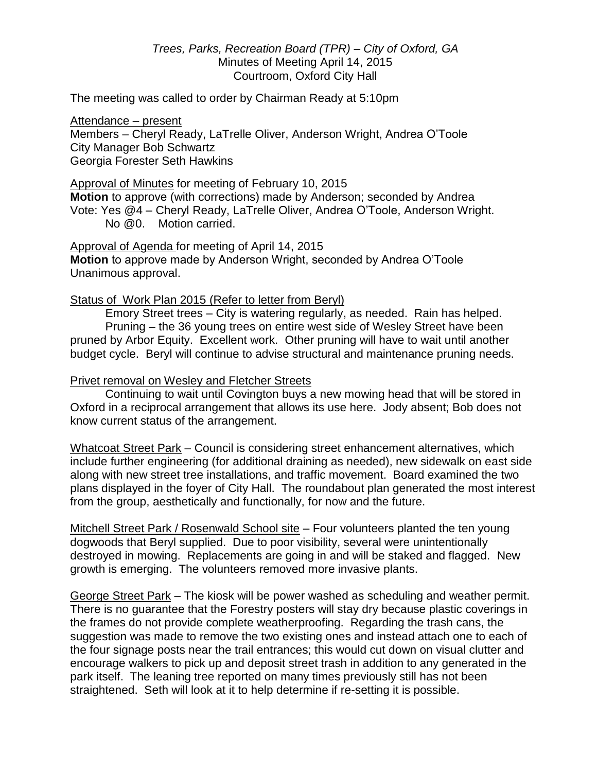*Trees, Parks, Recreation Board (TPR) – City of Oxford, GA* Minutes of Meeting April 14, 2015 Courtroom, Oxford City Hall

The meeting was called to order by Chairman Ready at 5:10pm

### Attendance – present

Members – Cheryl Ready, LaTrelle Oliver, Anderson Wright, Andrea O'Toole City Manager Bob Schwartz Georgia Forester Seth Hawkins

### Approval of Minutes for meeting of February 10, 2015

**Motion** to approve (with corrections) made by Anderson; seconded by Andrea Vote: Yes @4 – Cheryl Ready, LaTrelle Oliver, Andrea O'Toole, Anderson Wright. No @0. Motion carried.

Approval of Agenda for meeting of April 14, 2015 **Motion** to approve made by Anderson Wright, seconded by Andrea O'Toole Unanimous approval.

# Status of Work Plan 2015 (Refer to letter from Beryl)

Emory Street trees – City is watering regularly, as needed. Rain has helped. Pruning – the 36 young trees on entire west side of Wesley Street have been pruned by Arbor Equity. Excellent work. Other pruning will have to wait until another budget cycle. Beryl will continue to advise structural and maintenance pruning needs.

# Privet removal on Wesley and Fletcher Streets

Continuing to wait until Covington buys a new mowing head that will be stored in Oxford in a reciprocal arrangement that allows its use here. Jody absent; Bob does not know current status of the arrangement.

Whatcoat Street Park - Council is considering street enhancement alternatives, which include further engineering (for additional draining as needed), new sidewalk on east side along with new street tree installations, and traffic movement. Board examined the two plans displayed in the foyer of City Hall. The roundabout plan generated the most interest from the group, aesthetically and functionally, for now and the future.

Mitchell Street Park / Rosenwald School site – Four volunteers planted the ten young dogwoods that Beryl supplied. Due to poor visibility, several were unintentionally destroyed in mowing. Replacements are going in and will be staked and flagged. New growth is emerging. The volunteers removed more invasive plants.

George Street Park – The kiosk will be power washed as scheduling and weather permit. There is no guarantee that the Forestry posters will stay dry because plastic coverings in the frames do not provide complete weatherproofing. Regarding the trash cans, the suggestion was made to remove the two existing ones and instead attach one to each of the four signage posts near the trail entrances; this would cut down on visual clutter and encourage walkers to pick up and deposit street trash in addition to any generated in the park itself. The leaning tree reported on many times previously still has not been straightened. Seth will look at it to help determine if re-setting it is possible.